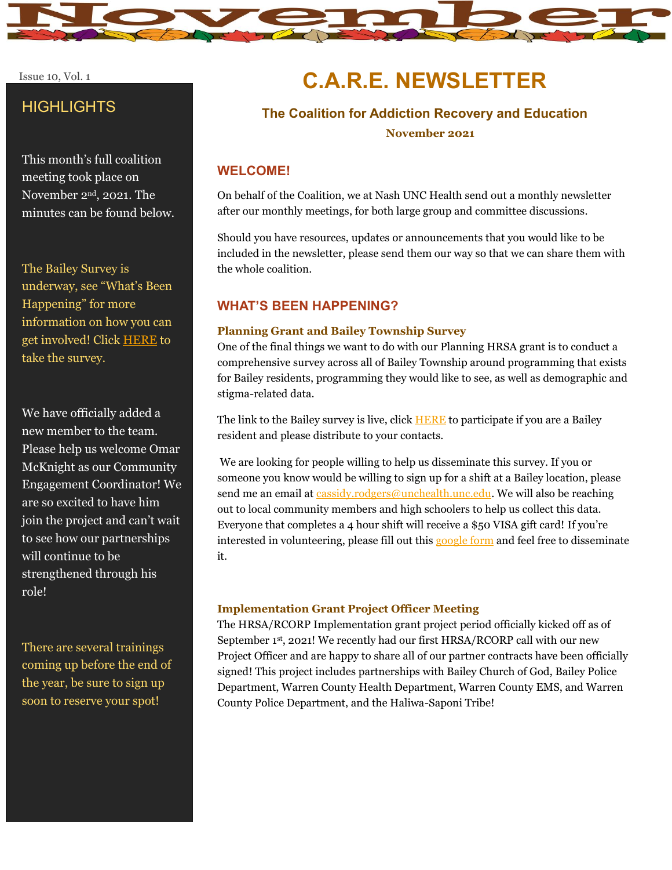

#### Issue 10, Vol. 1

## **HIGHLIGHTS**

This month's full coalition meeting took place on November 2nd, 2021. The minutes can be found below.

The Bailey Survey is underway, see "What's Been Happening" for more information on how you can get involved! Click [HERE](https://www.surveymonkey.com/r/YLL79Q5) to take the survey.

We have officially added a new member to the team. Please help us welcome Omar McKnight as our Community Engagement Coordinator! We are so excited to have him join the project and can't wait to see how our partnerships will continue to be strengthened through his role!

There are several trainings coming up before the end of the year, be sure to sign up soon to reserve your spot!

# **C.A.R.E. NEWSLETTER**

# **The Coalition for Addiction Recovery and Education**

 **November 2021**

## **WELCOME!**

On behalf of the Coalition, we at Nash UNC Health send out a monthly newsletter after our monthly meetings, for both large group and committee discussions.

Should you have resources, updates or announcements that you would like to be included in the newsletter, please send them our way so that we can share them with the whole coalition.

## **WHAT'S BEEN HAPPENING?**

#### **Planning Grant and Bailey Township Survey**

One of the final things we want to do with our Planning HRSA grant is to conduct a comprehensive survey across all of Bailey Township around programming that exists for Bailey residents, programming they would like to see, as well as demographic and stigma-related data.

The link to the Bailey survey is live, click **HERE** to participate if you are a Bailey resident and please distribute to your contacts.

We are looking for people willing to help us disseminate this survey. If you or someone you know would be willing to sign up for a shift at a Bailey location, please send me an email at [cassidy.rodgers@unchealth.unc.edu.](mailto:cassidy.rodgers@unchealth.unc.edu) We will also be reaching out to local community members and high schoolers to help us collect this data. Everyone that completes a 4 hour shift will receive a \$50 VISA gift card! If you're interested in volunteering, please fill out this [google form](https://docs.google.com/forms/d/e/1FAIpQLSfYtUPtiFKc75Q06LvBmxFwrHXcYNCoQN7meFb14pz5m-XTYA/viewform?vc=0&c=0&w=1&flr=0&usp=mail_form_link) and feel free to disseminate it.

#### **Implementation Grant Project Officer Meeting**

The HRSA/RCORP Implementation grant project period officially kicked off as of September 1st, 2021! We recently had our first HRSA/RCORP call with our new Project Officer and are happy to share all of our partner contracts have been officially signed! This project includes partnerships with Bailey Church of God, Bailey Police Department, Warren County Health Department, Warren County EMS, and Warren County Police Department, and the Haliwa-Saponi Tribe!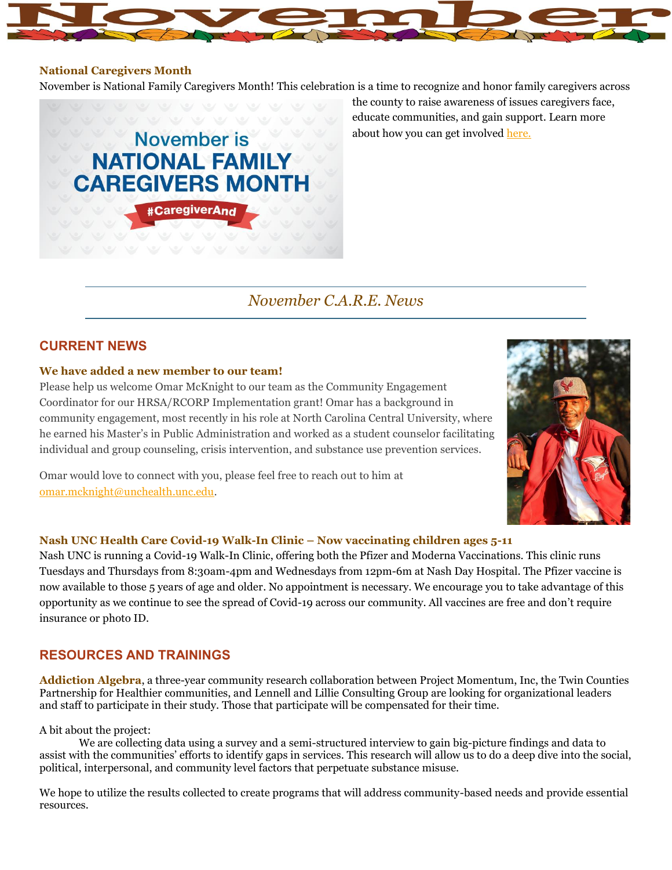#### **National Caregivers Month**

November is National Family Caregivers Month! This celebration is a time to recognize and honor family caregivers across



the county to raise awareness of issues caregivers face, educate communities, and gain support. Learn more about how you can get involved [here.](https://acl.gov/news-and-events/downloads-and-multimedia/NFCM#:~:text=National%20Family%20Caregivers%20Month%201%20About%20the%20Observance.,with%20the%20RAISE%20Council.%20...%205%20Relevant%20Websites)

## *November C.A.R.E. News*

## **CURRENT NEWS**

#### **We have added a new member to our team!**

Please help us welcome Omar McKnight to our team as the Community Engagement Coordinator for our HRSA/RCORP Implementation grant! Omar has a background in community engagement, most recently in his role at North Carolina Central University, where he earned his Master's in Public Administration and worked as a student counselor facilitating individual and group counseling, crisis intervention, and substance use prevention services.



Omar would love to connect with you, please feel free to reach out to him at [omar.mcknight@unchealth.unc.edu.](mailto:omar.mcknight@unchealth.unc.edu)

#### **Nash UNC Health Care Covid-19 Walk-In Clinic – Now vaccinating children ages 5-11**

Nash UNC is running a Covid-19 Walk-In Clinic, offering both the Pfizer and Moderna Vaccinations. This clinic runs Tuesdays and Thursdays from 8:30am-4pm and Wednesdays from 12pm-6m at Nash Day Hospital. The Pfizer vaccine is now available to those 5 years of age and older. No appointment is necessary. We encourage you to take advantage of this opportunity as we continue to see the spread of Covid-19 across our community. All vaccines are free and don't require insurance or photo ID.

## **RESOURCES AND TRAININGS**

**Addiction Algebra**, a three-year community research collaboration between Project Momentum, Inc, the Twin Counties Partnership for Healthier communities, and Lennell and Lillie Consulting Group are looking for organizational leaders and staff to participate in their study. Those that participate will be compensated for their time.

#### A bit about the project:

We are collecting data using a survey and a semi-structured interview to gain big-picture findings and data to assist with the communities' efforts to identify gaps in services. This research will allow us to do a deep dive into the social, political, interpersonal, and community level factors that perpetuate substance misuse.

We hope to utilize the results collected to create programs that will address community-based needs and provide essential resources.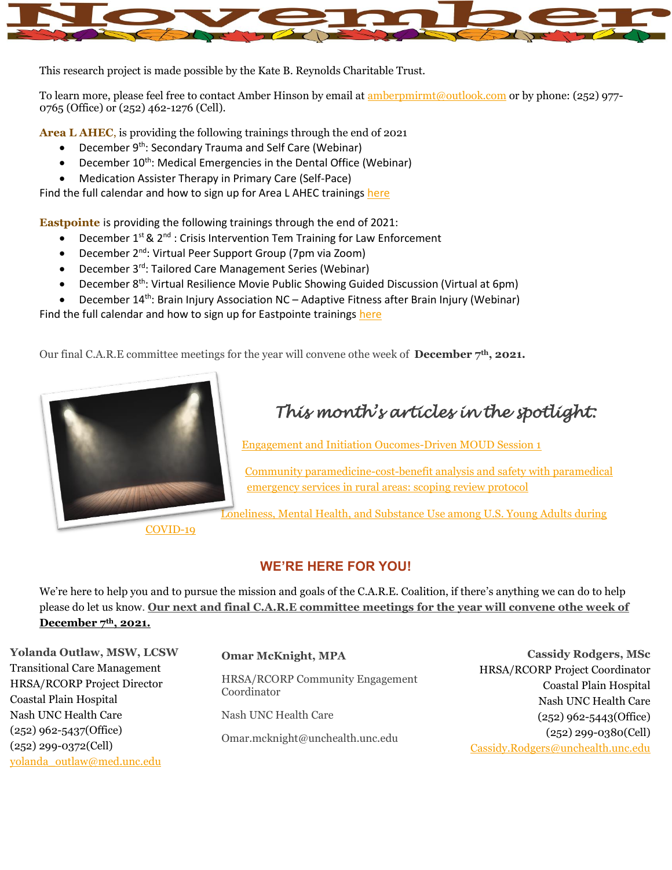

This research project is made possible by the Kate B. Reynolds Charitable Trust.

To learn more, please feel free to contact Amber Hinson by email at **amberpmirmt@outlook.com** or by phone: (252) 977-0765 (Office) or (252) 462-1276 (Cell).

**Area L AHEC**, is providing the following trainings through the end of 2021

- December 9<sup>th</sup>: Secondary Trauma and Self Care (Webinar)
- December 10<sup>th</sup>: Medical Emergencies in the Dental Office (Webinar)
- Medication Assister Therapy in Primary Care (Self-Pace)

Find the full calendar and how to sign up for Area L AHEC training[s here](https://www.arealahec.org/courses-and-events)

**Eastpointe** is providing the following trainings through the end of 2021:

- December  $1^{st}$  &  $2^{nd}$ : Crisis Intervention Tem Training for Law Enforcement
- December 2nd: Virtual Peer Support Group (7pm via Zoom)
- December 3<sup>rd</sup>: Tailored Care Management Series (Webinar)
- December 8<sup>th</sup>: Virtual Resilience Movie Public Showing Guided Discussion (Virtual at 6pm)
- December 14<sup>th</sup>: Brain Injury Association NC Adaptive Fitness after Brain Injury (Webinar)

Find the full calendar and how to sign up for Eastpointe trainings [here](https://www.eastpointe.net/#trainingcalendar)

Our final C.A.R.E committee meetings for the year will convene othe week of **December 7th, 2021.**



# *This month's articles in the spotlight:*

[Engagement and Initiation Oucomes-Driven MOUD Session 1](https://www.rcorp-ta.org/sites/default/files/2021-09/Engagement%20and%20Initiation%20MOUD%20Best%20Practices%20Webinar%20Session%20FINAL-508.pdf)

[Community paramedicine-cost-benefit analysis and safety with paramedical](https://www.rcorp-ta.org/sites/default/files/2021-11/Community%20paramedicinecostbenefit%20rural%20Communities.pdf)  [emergency services in rural areas: scoping review protocol](https://www.rcorp-ta.org/sites/default/files/2021-11/Community%20paramedicinecostbenefit%20rural%20Communities.pdf)

[Loneliness, Mental Health, and Substance Use among U.S. Young Adults during](https://www.tandfonline.com/doi/full/10.1080/02791072.2020.1836435) 

**WE'RE HERE FOR YOU!**

We're here to help you and to pursue the mission and goals of the C.A.R.E. Coalition, if there's anything we can do to help please do let us know. **Our next and final C.A.R.E committee meetings for the year will convene othe week of December 7th, 2021.**

**Yolanda Outlaw, MSW, LCSW** Transitional Care Management HRSA/RCORP Project Director Coastal Plain Hospital Nash UNC Health Care (252) 962-5437(Office) (252) 299-0372(Cell) [yolanda\\_outlaw@med.unc.edu](mailto:yolanda_outlaw@med.unc.edu)

## **Omar McKnight, MPA**

HRSA/RCORP Community Engagement Coordinator

Nash UNC Health Care

Omar.mcknight@unchealth.unc.edu

**Cassidy Rodgers, MSc** HRSA/RCORP Project Coordinator Coastal Plain Hospital Nash UNC Health Care (252) 962-5443(Office) (252) 299-0380(Cell) [Cassidy.Rodgers@unchealth.unc.edu](mailto:Cassidy.Rodgers@unchealth.unc.edu)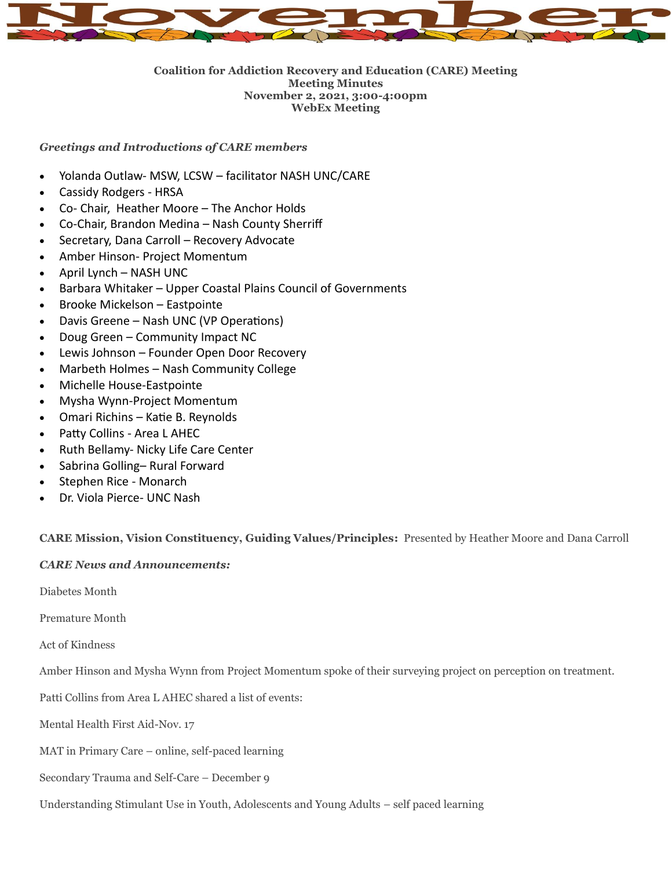

#### **Coalition for Addiction Recovery and Education (CARE) Meeting Meeting Minutes November 2, 2021, 3:00-4:00pm WebEx Meeting**

## *Greetings and Introductions of CARE members*

- Yolanda Outlaw- MSW, LCSW facilitator NASH UNC/CARE
- Cassidy Rodgers HRSA
- Co- Chair, Heather Moore The Anchor Holds
- Co-Chair, Brandon Medina Nash County Sherriff
- Secretary, Dana Carroll Recovery Advocate
- Amber Hinson- Project Momentum
- $\bullet$  April Lynch NASH UNC
- Barbara Whitaker Upper Coastal Plains Council of Governments
- Brooke Mickelson Eastpointe
- Davis Greene Nash UNC (VP Operations)
- Doug Green Community Impact NC
- Lewis Johnson Founder Open Door Recovery
- Marbeth Holmes Nash Community College
- Michelle House-Eastpointe
- Mysha Wynn-Project Momentum
- Omari Richins Katie B. Reynolds
- Patty Collins Area L AHEC
- Ruth Bellamy- Nicky Life Care Center
- Sabrina Golling– Rural Forward
- Stephen Rice Monarch
- Dr. Viola Pierce- UNC Nash

**CARE Mission, Vision Constituency, Guiding Values/Principles:** Presented by Heather Moore and Dana Carroll

## *CARE News and Announcements:*

Diabetes Month

Premature Month

Act of Kindness

Amber Hinson and Mysha Wynn from Project Momentum spoke of their surveying project on perception on treatment.

Patti Collins from Area L AHEC shared a list of events:

Mental Health First Aid-Nov. 17

MAT in Primary Care – online, self-paced learning

Secondary Trauma and Self-Care – December 9

Understanding Stimulant Use in Youth, Adolescents and Young Adults – self paced learning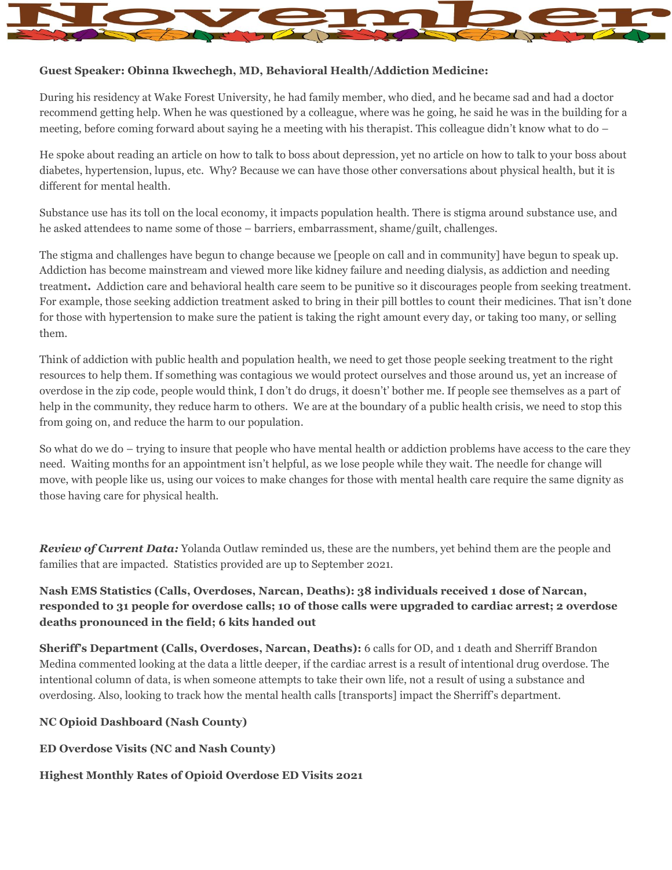

## **Guest Speaker: Obinna Ikwechegh, MD, Behavioral Health/Addiction Medicine:**

During his residency at Wake Forest University, he had family member, who died, and he became sad and had a doctor recommend getting help. When he was questioned by a colleague, where was he going, he said he was in the building for a meeting, before coming forward about saying he a meeting with his therapist. This colleague didn't know what to do –

He spoke about reading an article on how to talk to boss about depression, yet no article on how to talk to your boss about diabetes, hypertension, lupus, etc. Why? Because we can have those other conversations about physical health, but it is different for mental health.

Substance use has its toll on the local economy, it impacts population health. There is stigma around substance use, and he asked attendees to name some of those – barriers, embarrassment, shame/guilt, challenges.

The stigma and challenges have begun to change because we [people on call and in community] have begun to speak up. Addiction has become mainstream and viewed more like kidney failure and needing dialysis, as addiction and needing treatment**.** Addiction care and behavioral health care seem to be punitive so it discourages people from seeking treatment. For example, those seeking addiction treatment asked to bring in their pill bottles to count their medicines. That isn't done for those with hypertension to make sure the patient is taking the right amount every day, or taking too many, or selling them.

Think of addiction with public health and population health, we need to get those people seeking treatment to the right resources to help them. If something was contagious we would protect ourselves and those around us, yet an increase of overdose in the zip code, people would think, I don't do drugs, it doesn't' bother me. If people see themselves as a part of help in the community, they reduce harm to others. We are at the boundary of a public health crisis, we need to stop this from going on, and reduce the harm to our population.

So what do we do – trying to insure that people who have mental health or addiction problems have access to the care they need. Waiting months for an appointment isn't helpful, as we lose people while they wait. The needle for change will move, with people like us, using our voices to make changes for those with mental health care require the same dignity as those having care for physical health.

*Review of Current Data:* Yolanda Outlaw reminded us, these are the numbers, yet behind them are the people and families that are impacted. Statistics provided are up to September 2021.

## **Nash EMS Statistics (Calls, Overdoses, Narcan, Deaths): 38 individuals received 1 dose of Narcan, responded to 31 people for overdose calls; 10 of those calls were upgraded to cardiac arrest; 2 overdose deaths pronounced in the field; 6 kits handed out**

**Sheriff's Department (Calls, Overdoses, Narcan, Deaths):** 6 calls for OD, and 1 death and Sherriff Brandon Medina commented looking at the data a little deeper, if the cardiac arrest is a result of intentional drug overdose. The intentional column of data, is when someone attempts to take their own life, not a result of using a substance and overdosing. Also, looking to track how the mental health calls [transports] impact the Sherriff's department.

## **NC Opioid Dashboard (Nash County)**

**ED Overdose Visits (NC and Nash County)**

#### **Highest Monthly Rates of Opioid Overdose ED Visits 2021**